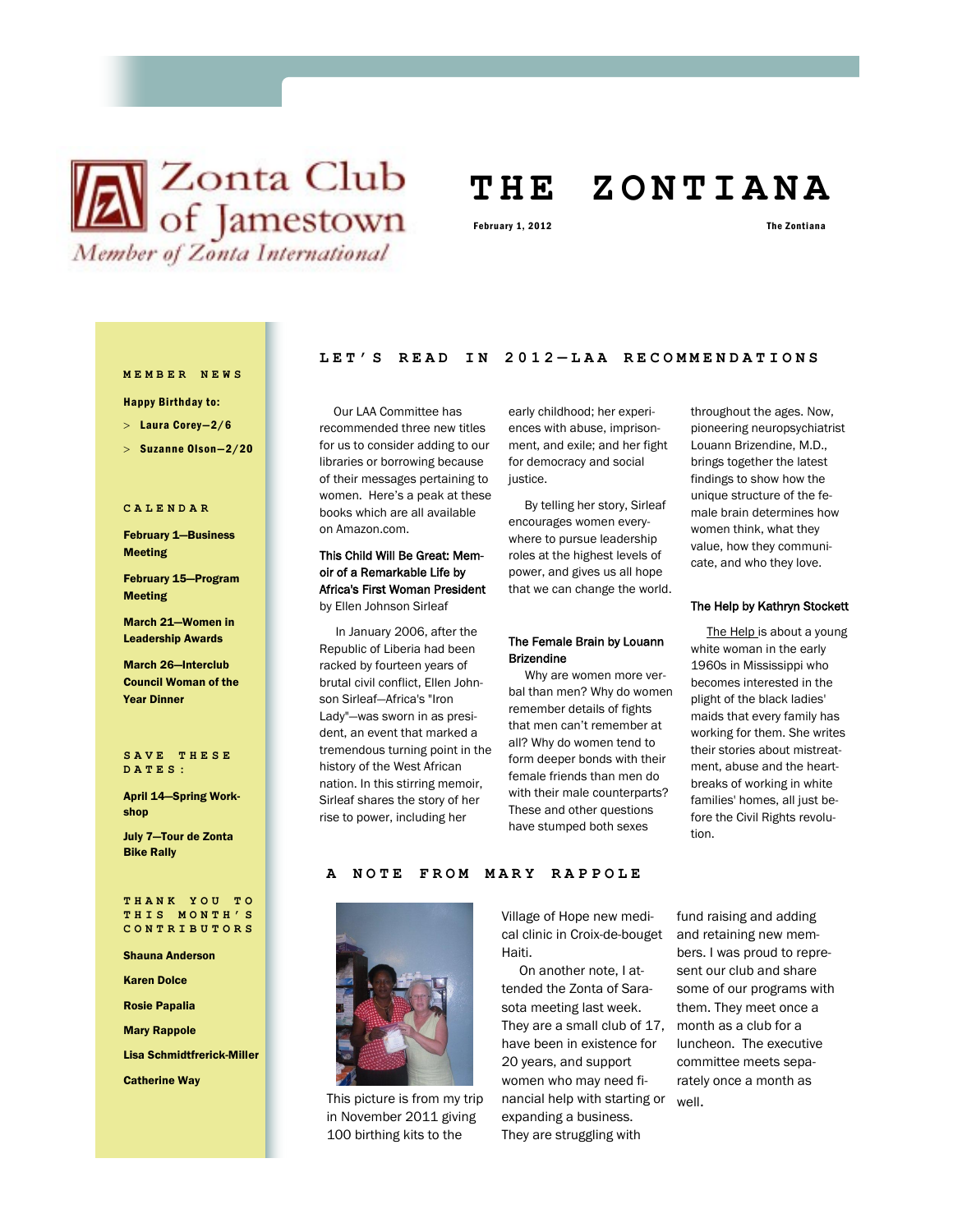# **X** Club of Jamestown Member of Zonta International

## **T H E Z O N T I A N A**

February 1, 2012 **The Zontiana** 

#### **M E M B E R N E W S**

Happy Birthday to:

Laura Corey—2/6

 $>$  Suzanne Olson-2/20

### **C A L E N D A R**

February 1—Business Meeting

February 15—Program Meeting

March 21—Women in Leadership Awards

March 26—Interclub Council Woman of the Year Dinner

### **S A V E T H E S E D A T E S :**

April 14—Spring Workshop

July 7—Tour de Zonta Bike Rally

### **T H A N K Y O U T O T H I S M O N T H ' S C O N T R I B U T O R S**

### Shauna Anderson

Karen Dolce

Rosie Papalia

Mary Rappole

Lisa Schmidtfrerick-Miller

Catherine Way

### **LET'S READ IN 2012 — L A A R E C O M M E N D A T I O N S**

 Our LAA Committee has recommended three new titles for us to consider adding to our libraries or borrowing because of their messages pertaining to women. Here's a peak at these books which are all available on Amazon.com.

### oir of a Remarkable Life by Africa's First Woman President

by Ellen Johnson Sirleaf

 In January 2006, after the Republic of Liberia had been racked by fourteen years of brutal civil conflict, Ellen Johnson Sirleaf—Africa's "Iron Lady"—was sworn in as president, an event that marked a tremendous turning point in the history of the West African nation. In this stirring memoir, Sirleaf shares the story of her rise to power, including her

early childhood; her experiences with abuse, imprisonment, and exile; and her fight for democracy and social justice.

 By telling her story, Sirleaf encourages women everywhere to pursue leadership roles at the highest levels of power, and gives us all hope that we can change the world.

### The Female Brain by Louann Brizendine

 Why are women more verbal than men? Why do women remember details of fights that men can't remember at all? Why do women tend to form deeper bonds with their female friends than men do with their male counterparts? These and other questions have stumped both sexes

throughout the ages. Now, pioneering neuropsychiatrist Louann Brizendine, M.D., brings together the latest findings to show how the unique structure of the female brain determines how women think, what they value, how they communicate, and who they love.

### The Help by Kathryn Stockett

The Help is about a young white woman in the early 1960s in Mississippi who becomes interested in the plight of the black ladies' maids that every family has working for them. She writes their stories about mistreatment, abuse and the heartbreaks of working in white families' homes, all just before the Civil Rights revolution.

### **A NOTE FROM MARY RAPPOLE**



This picture is from my trip in November 2011 giving 100 birthing kits to the

Village of Hope new medical clinic in Croix-de-bouget Haiti.

 On another note, I attended the Zonta of Sarasota meeting last week. They are a small club of 17, month as a club for a have been in existence for 20 years, and support women who may need financial help with starting or well.expanding a business. They are struggling with

fund raising and adding and retaining new members. I was proud to represent our club and share some of our programs with them. They meet once a luncheon. The executive committee meets separately once a month as

This Child Will Be Great: Mem-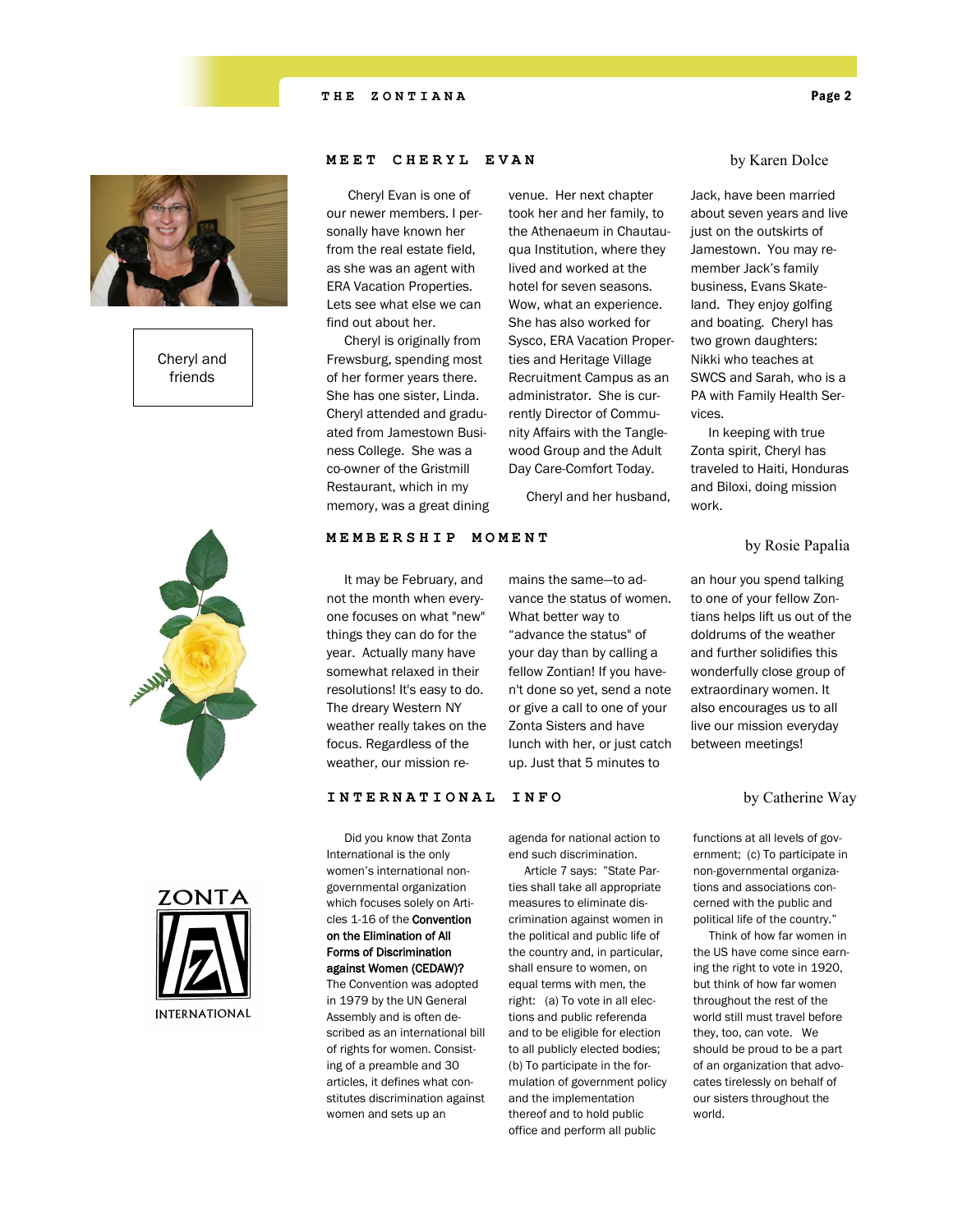

Cheryl and friends

### **MEET CHERYL EVAN**

 Cheryl Evan is one of our newer members. I personally have known her from the real estate field, as she was an agent with ERA Vacation Properties. Lets see what else we can find out about her.

 Cheryl is originally from Frewsburg, spending most of her former years there. She has one sister, Linda. Cheryl attended and graduated from Jamestown Business College. She was a co-owner of the Gristmill Restaurant, which in my memory, was a great dining venue. Her next chapter took her and her family, to the Athenaeum in Chautauqua Institution, where they lived and worked at the hotel for seven seasons. Wow, what an experience. She has also worked for Sysco, ERA Vacation Properties and Heritage Village Recruitment Campus as an administrator. She is currently Director of Community Affairs with the Tanglewood Group and the Adult Day Care-Comfort Today.

Cheryl and her husband,

mains the same—to advance the status of women. What better way to "advance the status" of your day than by calling a fellow Zontian! If you haven't done so yet, send a note or give a call to one of your Zonta Sisters and have lunch with her, or just catch up. Just that 5 minutes to

### by Karen Dolce

Jack, have been married about seven years and live just on the outskirts of Jamestown. You may remember Jack's family business, Evans Skateland. They enjoy golfing and boating. Cheryl has two grown daughters: Nikki who teaches at SWCS and Sarah, who is a PA with Family Health Services.

 In keeping with true Zonta spirit, Cheryl has traveled to Haiti, Honduras and Biloxi, doing mission work.







### **MEMBERSHIP MOMENT**

 It may be February, and not the month when everyone focuses on what "new" things they can do for the year. Actually many have somewhat relaxed in their resolutions! It's easy to do. The dreary Western NY weather really takes on the focus. Regardless of the weather, our mission re-

### **INTERNATIONAL INFO**

 Did you know that Zonta International is the only women's international nongovernmental organization which focuses solely on Articles 1-16 of the Convention on the Elimination of All Forms of Discrimination against Women (CEDAW)? The Convention was adopted in 1979 by the UN General Assembly and is often described as an international bill of rights for women. Consisting of a preamble and 30 articles, it defines what constitutes discrimination against women and sets up an

agenda for national action to end such discrimination.

 Article 7 says: "State Parties shall take all appropriate measures to eliminate discrimination against women in the political and public life of the country and, in particular, shall ensure to women, on equal terms with men, the right: (a) To vote in all elections and public referenda and to be eligible for election to all publicly elected bodies; (b) To participate in the formulation of government policy and the implementation thereof and to hold public office and perform all public

an hour you spend talking to one of your fellow Zontians helps lift us out of the doldrums of the weather and further solidifies this wonderfully close group of extraordinary women. It also encourages us to all live our mission everyday between meetings!

by Catherine Way

functions at all levels of government; (c) To participate in non-governmental organizations and associations concerned with the public and political life of the country."

 Think of how far women in the US have come since earning the right to vote in 1920, but think of how far women throughout the rest of the world still must travel before they, too, can vote. We should be proud to be a part of an organization that advocates tirelessly on behalf of our sisters throughout the world.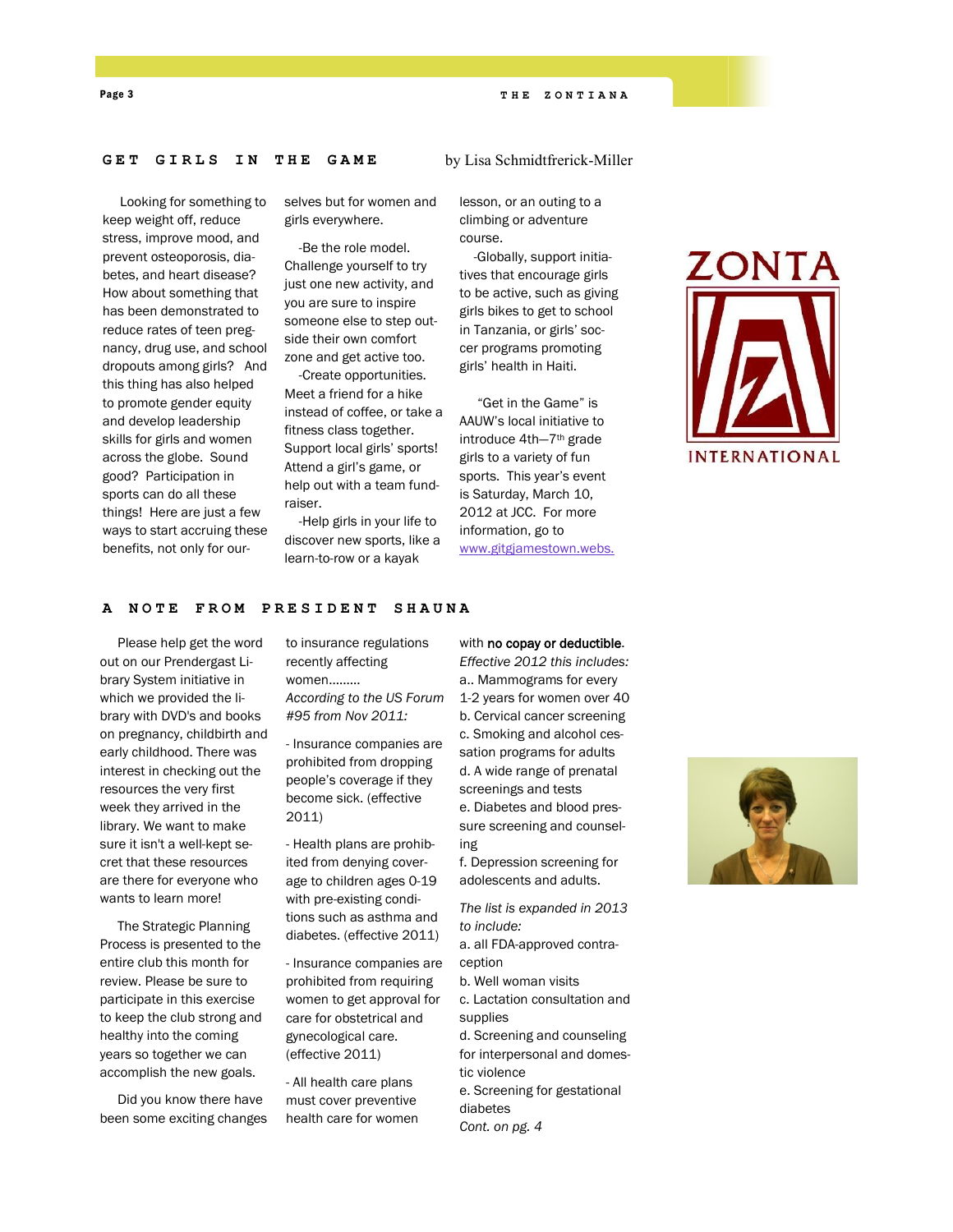### Page 3 **T H E Z O N T I A N A**

### **GET GIRLS IN THE GAME**

 Looking for something to keep weight off, reduce stress, improve mood, and prevent osteoporosis, diabetes, and heart disease? How about something that has been demonstrated to reduce rates of teen pregnancy, drug use, and school dropouts among girls? And this thing has also helped to promote gender equity and develop leadership skills for girls and women across the globe. Sound good? Participation in sports can do all these things! Here are just a few ways to start accruing these benefits, not only for ourselves but for women and girls everywhere.

 -Be the role model. Challenge yourself to try just one new activity, and you are sure to inspire someone else to step outside their own comfort zone and get active too.

 -Create opportunities. Meet a friend for a hike instead of coffee, or take a fitness class together. Support local girls' sports! Attend a girl's game, or help out with a team fundraiser.

 -Help girls in your life to discover new sports, like a learn-to-row or a kayak

lesson, or an outing to a climbing or adventure course.

by Lisa Schmidtfrerick-Miller

 -Globally, support initiatives that encourage girls to be active, such as giving girls bikes to get to school in Tanzania, or girls' soccer programs promoting girls' health in Haiti.

 "Get in the Game" is AAUW's local initiative to introduce 4th—7th grade girls to a variety of fun sports. This year's event is Saturday, March 10, 2012 at JCC. For more information, go to [www.gitgjamestown.webs.](http://www.gitgjamestown.webs.com)



### **A NOTE FROM PRESIDENT SHAUNA**

 Please help get the word out on our Prendergast Library System initiative in which we provided the library with DVD's and books on pregnancy, childbirth and early childhood. There was interest in checking out the resources the very first week they arrived in the library. We want to make sure it isn't a well-kept secret that these resources are there for everyone who wants to learn more!

 The Strategic Planning Process is presented to the entire club this month for review. Please be sure to participate in this exercise to keep the club strong and healthy into the coming years so together we can accomplish the new goals.

 Did you know there have been some exciting changes to insurance regulations recently affecting women......... *According to the US Forum #95 from Nov 2011:* 

- Insurance companies are prohibited from dropping people's coverage if they become sick. (effective 2011)

- Health plans are prohibited from denying coverage to children ages 0-19 with pre-existing conditions such as asthma and diabetes. (effective 2011)

- Insurance companies are prohibited from requiring women to get approval for care for obstetrical and gynecological care. (effective 2011)

- All health care plans must cover preventive health care for women

### with no copay or deductible.

*Effective 2012 this includes:* a.. Mammograms for every 1-2 years for women over 40 b. Cervical cancer screening c. Smoking and alcohol cessation programs for adults d. A wide range of prenatal screenings and tests

e. Diabetes and blood pressure screening and counseling

f. Depression screening for adolescents and adults.

*The list is expanded in 2013 to include:*

a. all FDA-approved contraception

b. Well woman visits

c. Lactation consultation and supplies

d. Screening and counseling for interpersonal and domestic violence

e. Screening for gestational diabetes

*Cont. on pg. 4*